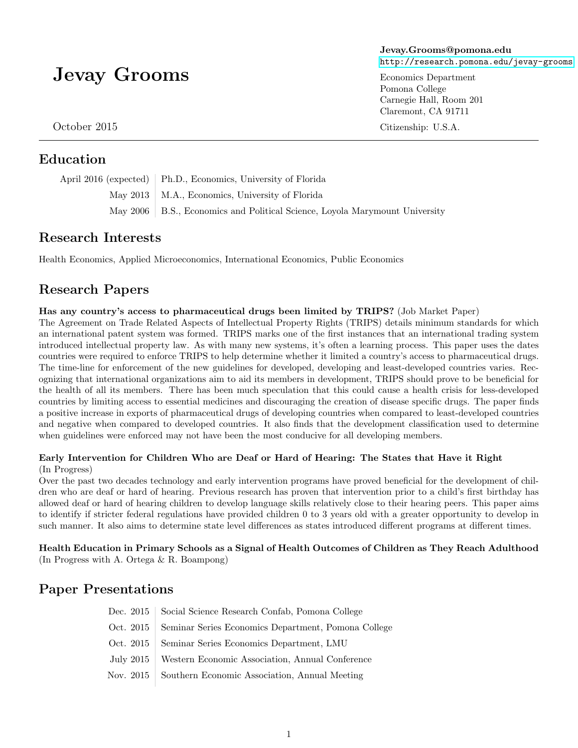# Jevay Grooms

October 2015

### Education

April 2016 (expected) Ph.D., Economics, University of Florida May 2013 | M.A., Economics, University of Florida May 2006 | B.S., Economics and Political Science, Loyola Marymount University

## Research Interests

Health Economics, Applied Microeconomics, International Economics, Public Economics

## Research Papers

#### Has any country's access to pharmaceutical drugs been limited by TRIPS? (Job Market Paper)

The Agreement on Trade Related Aspects of Intellectual Property Rights (TRIPS) details minimum standards for which an international patent system was formed. TRIPS marks one of the first instances that an international trading system introduced intellectual property law. As with many new systems, it's often a learning process. This paper uses the dates countries were required to enforce TRIPS to help determine whether it limited a country's access to pharmaceutical drugs. The time-line for enforcement of the new guidelines for developed, developing and least-developed countries varies. Recognizing that international organizations aim to aid its members in development, TRIPS should prove to be beneficial for the health of all its members. There has been much speculation that this could cause a health crisis for less-developed countries by limiting access to essential medicines and discouraging the creation of disease specific drugs. The paper finds a positive increase in exports of pharmaceutical drugs of developing countries when compared to least-developed countries and negative when compared to developed countries. It also finds that the development classification used to determine when guidelines were enforced may not have been the most conducive for all developing members.

#### Early Intervention for Children Who are Deaf or Hard of Hearing: The States that Have it Right (In Progress)

Over the past two decades technology and early intervention programs have proved beneficial for the development of children who are deaf or hard of hearing. Previous research has proven that intervention prior to a child's first birthday has allowed deaf or hard of hearing children to develop language skills relatively close to their hearing peers. This paper aims to identify if stricter federal regulations have provided children 0 to 3 years old with a greater opportunity to develop in such manner. It also aims to determine state level differences as states introduced different programs at different times.

Health Education in Primary Schools as a Signal of Health Outcomes of Children as They Reach Adulthood (In Progress with A. Ortega & R. Boampong)

## Paper Presentations

| Dec. 2015   Social Science Research Confab, Pomona College      |
|-----------------------------------------------------------------|
| Oct. 2015   Seminar Series Economics Department, Pomona College |
| Oct. 2015   Seminar Series Economics Department, LMU            |
| July 2015   Western Economic Association, Annual Conference     |
| Nov. 2015   Southern Economic Association, Annual Meeting       |

Jevay.Grooms@pomona.edu <http://research.pomona.edu/jevay-grooms>

Economics Department Pomona College Carnegie Hall, Room 201 Claremont, CA 91711

Citizenship: U.S.A.